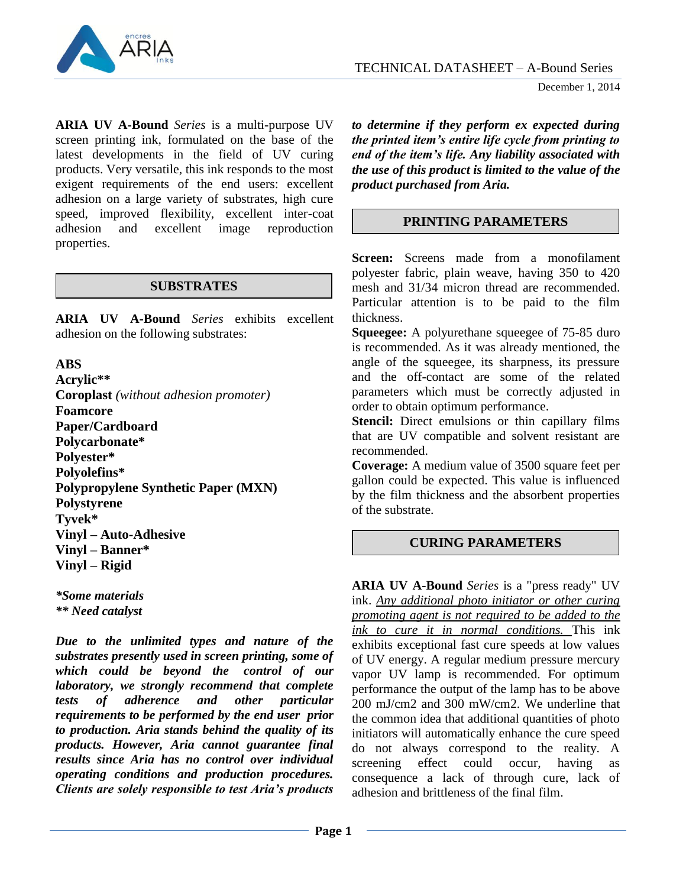

December 1, 2014

**ARIA UV A-Bound** *Series* is a multi-purpose UV screen printing ink, formulated on the base of the latest developments in the field of UV curing products. Very versatile, this ink responds to the most exigent requirements of the end users: excellent adhesion on a large variety of substrates, high cure speed, improved flexibility, excellent inter-coat adhesion and excellent image reproduction properties.

### **SUBSTRATES**

**ARIA UV A-Bound** *Series* exhibits excellent adhesion on the following substrates:

## **ABS**

**Acrylic\*\* Coroplast** *(without adhesion promoter)* **Foamcore Paper/Cardboard Polycarbonate\* Polyester\* Polyolefins\* Polypropylene Synthetic Paper (MXN) Polystyrene Tyvek\* Vinyl – Auto-Adhesive Vinyl – Banner\* Vinyl – Rigid**

*\*Some materials \*\* Need catalyst*

*Due to the unlimited types and nature of the substrates presently used in screen printing, some of which could be beyond the control of our laboratory, we strongly recommend that complete tests of adherence and other particular requirements to be performed by the end user prior to production. Aria stands behind the quality of its products. However, Aria cannot guarantee final results since Aria has no control over individual operating conditions and production procedures. Clients are solely responsible to test Aria's products*

*to determine if they perform ex expected during the printed item's entire life cycle from printing to end of the item's life. Any liability associated with the use of this product is limited to the value of the product purchased from Aria.*

# **PRINTING PARAMETERS**

**Screen:** Screens made from a monofilament polyester fabric, plain weave, having 350 to 420 mesh and 31/34 micron thread are recommended. Particular attention is to be paid to the film thickness.

**Squeegee:** A polyurethane squeegee of 75-85 duro is recommended. As it was already mentioned, the angle of the squeegee, its sharpness, its pressure and the off-contact are some of the related parameters which must be correctly adjusted in order to obtain optimum performance.

**Stencil:** Direct emulsions or thin capillary films that are UV compatible and solvent resistant are recommended.

**Coverage:** A medium value of 3500 square feet per gallon could be expected. This value is influenced by the film thickness and the absorbent properties of the substrate.

### **CURING PARAMETERS**

**ARIA UV A-Bound** *Series* is a "press ready" UV ink. *Any additional photo initiator or other curing promoting agent is not required to be added to the ink to cure it in normal conditions.* This ink exhibits exceptional fast cure speeds at low values of UV energy. A regular medium pressure mercury vapor UV lamp is recommended. For optimum performance the output of the lamp has to be above 200 mJ/cm2 and 300 mW/cm2. We underline that the common idea that additional quantities of photo initiators will automatically enhance the cure speed do not always correspond to the reality. A screening effect could occur, having as consequence a lack of through cure, lack of adhesion and brittleness of the final film.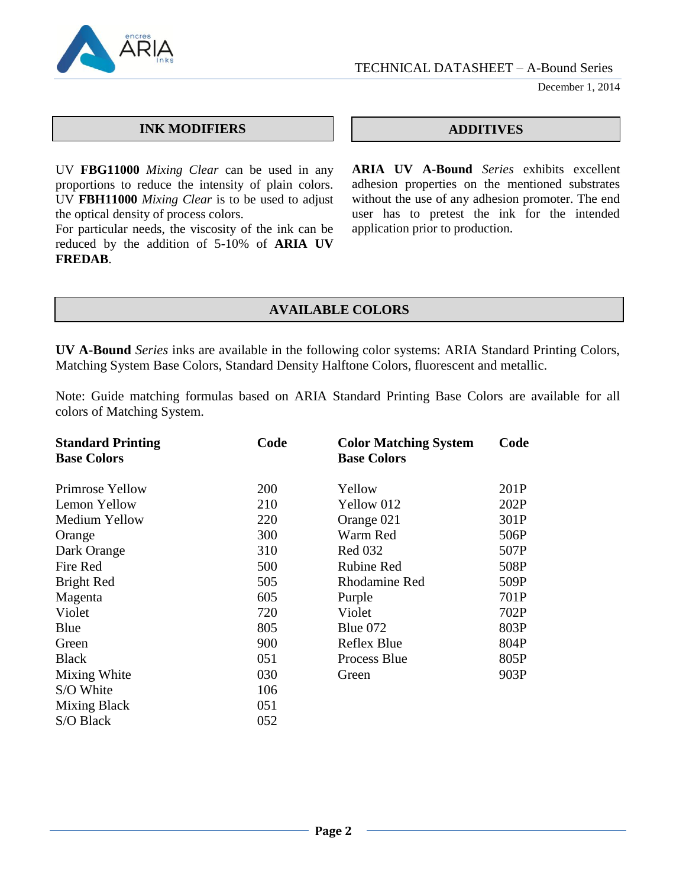

December 1, 2014

### **INK MODIFIERS ADDITIVES**

UV **FBG11000** *Mixing Clear* can be used in any proportions to reduce the intensity of plain colors. UV **FBH11000** *Mixing Clear* is to be used to adjust the optical density of process colors.

For particular needs, the viscosity of the ink can be reduced by the addition of 5-10% of **ARIA UV FREDAB**.

**ARIA UV A-Bound** *Series* exhibits excellent adhesion properties on the mentioned substrates without the use of any adhesion promoter. The end user has to pretest the ink for the intended application prior to production.

## **AVAILABLE COLORS**

**UV A-Bound** *Series* inks are available in the following color systems: ARIA Standard Printing Colors, Matching System Base Colors, Standard Density Halftone Colors, fluorescent and metallic.

Note: Guide matching formulas based on ARIA Standard Printing Base Colors are available for all colors of Matching System.

| <b>Standard Printing</b><br><b>Base Colors</b> | Code | <b>Color Matching System</b><br><b>Base Colors</b> | Code |
|------------------------------------------------|------|----------------------------------------------------|------|
| Primrose Yellow                                | 200  | Yellow                                             | 201P |
| Lemon Yellow                                   | 210  | Yellow 012                                         | 202P |
| Medium Yellow                                  | 220  | Orange 021                                         | 301P |
| Orange                                         | 300  | Warm Red                                           | 506P |
| Dark Orange                                    | 310  | <b>Red 032</b>                                     | 507P |
| Fire Red                                       | 500  | <b>Rubine Red</b>                                  | 508P |
| Bright Red                                     | 505  | Rhodamine Red                                      | 509P |
| Magenta                                        | 605  | Purple                                             | 701P |
| Violet                                         | 720  | Violet                                             | 702P |
| Blue                                           | 805  | Blue $072$                                         | 803P |
| Green                                          | 900  | Reflex Blue                                        | 804P |
| <b>Black</b>                                   | 051  | Process Blue                                       | 805P |
| Mixing White                                   | 030  | Green                                              | 903P |
| S/O White                                      | 106  |                                                    |      |
| Mixing Black                                   | 051  |                                                    |      |
| S/O Black                                      | 052  |                                                    |      |